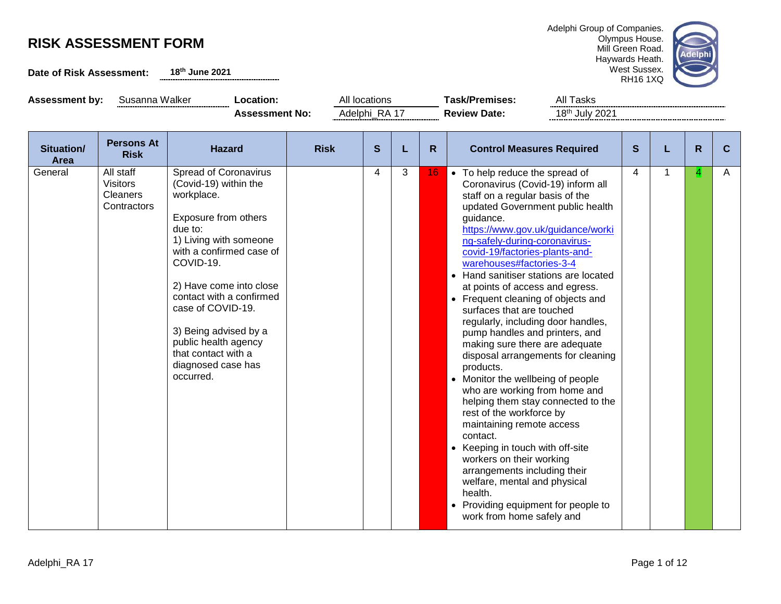**Date of Risk Assessment: 18th June 2021**





Assessment by: Susanna Walker **Location:** All locations **Task/Premises:** All Tasks Assessment No: Adelphi\_RA 17 **Review Date:** 18<sup>th</sup> July 2021

| Situation/<br>Area | <b>Persons At</b><br><b>Risk</b>                               | <b>Hazard</b>                                                                                                                                                                                                                                                                                                                                             | <b>Risk</b> | S              | L | R. | <b>Control Measures Required</b>                                                                                                                                                                                                                                                                                                                                                                                                                                                                                                                                                                                                                                                                                                                                                                                                                                                                                                                                                                        | S | R | C |
|--------------------|----------------------------------------------------------------|-----------------------------------------------------------------------------------------------------------------------------------------------------------------------------------------------------------------------------------------------------------------------------------------------------------------------------------------------------------|-------------|----------------|---|----|---------------------------------------------------------------------------------------------------------------------------------------------------------------------------------------------------------------------------------------------------------------------------------------------------------------------------------------------------------------------------------------------------------------------------------------------------------------------------------------------------------------------------------------------------------------------------------------------------------------------------------------------------------------------------------------------------------------------------------------------------------------------------------------------------------------------------------------------------------------------------------------------------------------------------------------------------------------------------------------------------------|---|---|---|
| General            | All staff<br><b>Visitors</b><br><b>Cleaners</b><br>Contractors | Spread of Coronavirus<br>(Covid-19) within the<br>workplace.<br>Exposure from others<br>due to:<br>1) Living with someone<br>with a confirmed case of<br>COVID-19.<br>2) Have come into close<br>contact with a confirmed<br>case of COVID-19.<br>3) Being advised by a<br>public health agency<br>that contact with a<br>diagnosed case has<br>occurred. |             | $\overline{4}$ | 3 | 16 | • To help reduce the spread of<br>Coronavirus (Covid-19) inform all<br>staff on a regular basis of the<br>updated Government public health<br>guidance.<br>https://www.gov.uk/guidance/worki<br>ng-safely-during-coronavirus-<br>covid-19/factories-plants-and-<br>warehouses#factories-3-4<br>• Hand sanitiser stations are located<br>at points of access and egress.<br>• Frequent cleaning of objects and<br>surfaces that are touched<br>regularly, including door handles,<br>pump handles and printers, and<br>making sure there are adequate<br>disposal arrangements for cleaning<br>products.<br>• Monitor the wellbeing of people<br>who are working from home and<br>helping them stay connected to the<br>rest of the workforce by<br>maintaining remote access<br>contact.<br>• Keeping in touch with off-site<br>workers on their working<br>arrangements including their<br>welfare, mental and physical<br>health.<br>• Providing equipment for people to<br>work from home safely and | 4 | 4 | A |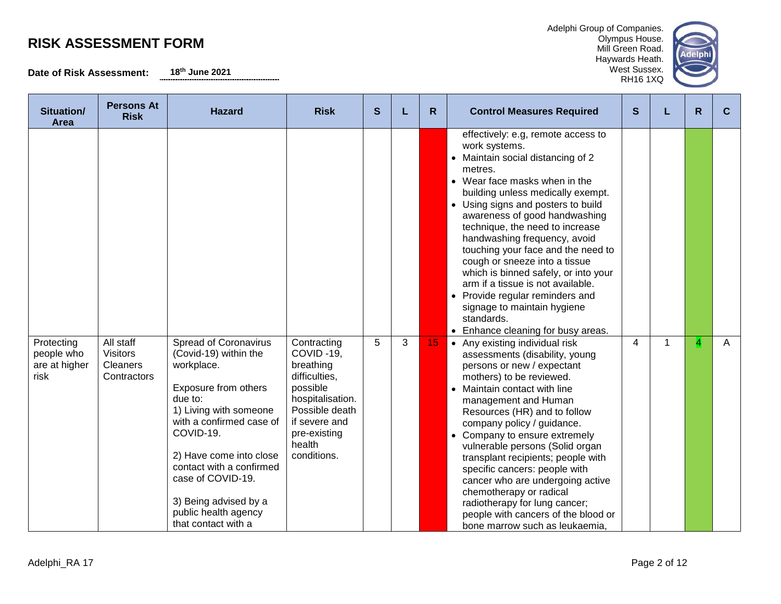**Date of Risk Assessment: 18th June 2021**

Adelphi Group of Companies. Olympus House.

Mill Green Road. elphi Haywards Heath. West Sussex. RH16 1XQ



| Situation/<br>Area                                | <b>Persons At</b><br><b>Risk</b>                        | <b>Hazard</b>                                                                                                                                                                                                                                                                                                                 | <b>Risk</b>                                                                                                                                                        | S |   | R. | <b>Control Measures Required</b>                                                                                                                                                                                                                                                                                                                                                                                                                                                                                                                                                              | S | R              | C |
|---------------------------------------------------|---------------------------------------------------------|-------------------------------------------------------------------------------------------------------------------------------------------------------------------------------------------------------------------------------------------------------------------------------------------------------------------------------|--------------------------------------------------------------------------------------------------------------------------------------------------------------------|---|---|----|-----------------------------------------------------------------------------------------------------------------------------------------------------------------------------------------------------------------------------------------------------------------------------------------------------------------------------------------------------------------------------------------------------------------------------------------------------------------------------------------------------------------------------------------------------------------------------------------------|---|----------------|---|
|                                                   |                                                         |                                                                                                                                                                                                                                                                                                                               |                                                                                                                                                                    |   |   |    | effectively: e.g, remote access to<br>work systems.<br>• Maintain social distancing of 2<br>metres.<br>• Wear face masks when in the<br>building unless medically exempt.<br>• Using signs and posters to build<br>awareness of good handwashing<br>technique, the need to increase<br>handwashing frequency, avoid<br>touching your face and the need to<br>cough or sneeze into a tissue<br>which is binned safely, or into your<br>arm if a tissue is not available.<br>• Provide regular reminders and<br>signage to maintain hygiene<br>standards.<br>• Enhance cleaning for busy areas. |   |                |   |
| Protecting<br>people who<br>are at higher<br>risk | All staff<br><b>Visitors</b><br>Cleaners<br>Contractors | <b>Spread of Coronavirus</b><br>(Covid-19) within the<br>workplace.<br>Exposure from others<br>due to:<br>1) Living with someone<br>with a confirmed case of<br>COVID-19.<br>2) Have come into close<br>contact with a confirmed<br>case of COVID-19.<br>3) Being advised by a<br>public health agency<br>that contact with a | Contracting<br>COVID-19,<br>breathing<br>difficulties,<br>possible<br>hospitalisation.<br>Possible death<br>if severe and<br>pre-existing<br>health<br>conditions. | 5 | 3 | 15 | • Any existing individual risk<br>assessments (disability, young<br>persons or new / expectant<br>mothers) to be reviewed.<br>Maintain contact with line<br>management and Human<br>Resources (HR) and to follow<br>company policy / guidance.<br>• Company to ensure extremely<br>vulnerable persons (Solid organ<br>transplant recipients; people with<br>specific cancers: people with<br>cancer who are undergoing active<br>chemotherapy or radical<br>radiotherapy for lung cancer;<br>people with cancers of the blood or<br>bone marrow such as leukaemia                             | 4 | $\overline{4}$ | A |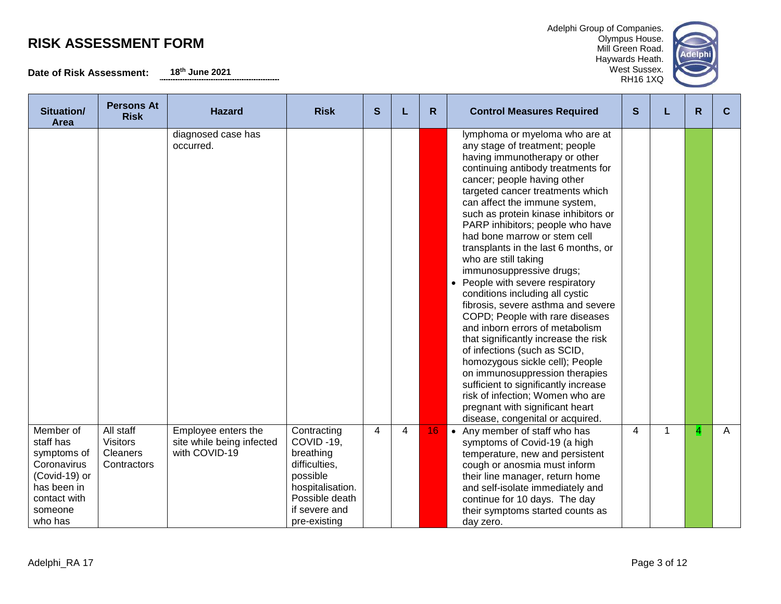**Date of Risk Assessment: 18th June 2021**

| Situation/<br>Area                                                                                                         | <b>Persons At</b><br><b>Risk</b>                               | <b>Hazard</b>                                                     | <b>Risk</b>                                                                                                                               | S              |   | R  | <b>Control Measures Required</b>                                                                                                                                                                                                                                                                                                                                                                                                                                                                                                                                                                                                                                                                                                                                                                                                                                                                                                       | S              | L | R              | C            |
|----------------------------------------------------------------------------------------------------------------------------|----------------------------------------------------------------|-------------------------------------------------------------------|-------------------------------------------------------------------------------------------------------------------------------------------|----------------|---|----|----------------------------------------------------------------------------------------------------------------------------------------------------------------------------------------------------------------------------------------------------------------------------------------------------------------------------------------------------------------------------------------------------------------------------------------------------------------------------------------------------------------------------------------------------------------------------------------------------------------------------------------------------------------------------------------------------------------------------------------------------------------------------------------------------------------------------------------------------------------------------------------------------------------------------------------|----------------|---|----------------|--------------|
|                                                                                                                            |                                                                | diagnosed case has<br>occurred.                                   |                                                                                                                                           |                |   |    | lymphoma or myeloma who are at<br>any stage of treatment; people<br>having immunotherapy or other<br>continuing antibody treatments for<br>cancer; people having other<br>targeted cancer treatments which<br>can affect the immune system,<br>such as protein kinase inhibitors or<br>PARP inhibitors; people who have<br>had bone marrow or stem cell<br>transplants in the last 6 months, or<br>who are still taking<br>immunosuppressive drugs;<br>• People with severe respiratory<br>conditions including all cystic<br>fibrosis, severe asthma and severe<br>COPD; People with rare diseases<br>and inborn errors of metabolism<br>that significantly increase the risk<br>of infections (such as SCID,<br>homozygous sickle cell); People<br>on immunosuppression therapies<br>sufficient to significantly increase<br>risk of infection; Women who are<br>pregnant with significant heart<br>disease, congenital or acquired. |                |   |                |              |
| Member of<br>staff has<br>symptoms of<br>Coronavirus<br>(Covid-19) or<br>has been in<br>contact with<br>someone<br>who has | All staff<br><b>Visitors</b><br><b>Cleaners</b><br>Contractors | Employee enters the<br>site while being infected<br>with COVID-19 | Contracting<br>COVID-19,<br>breathing<br>difficulties,<br>possible<br>hospitalisation.<br>Possible death<br>if severe and<br>pre-existing | $\overline{4}$ | 4 | 16 | • Any member of staff who has<br>symptoms of Covid-19 (a high<br>temperature, new and persistent<br>cough or anosmia must inform<br>their line manager, return home<br>and self-isolate immediately and<br>continue for 10 days. The day<br>their symptoms started counts as<br>day zero.                                                                                                                                                                                                                                                                                                                                                                                                                                                                                                                                                                                                                                              | $\overline{4}$ | 1 | $\overline{4}$ | $\mathsf{A}$ |

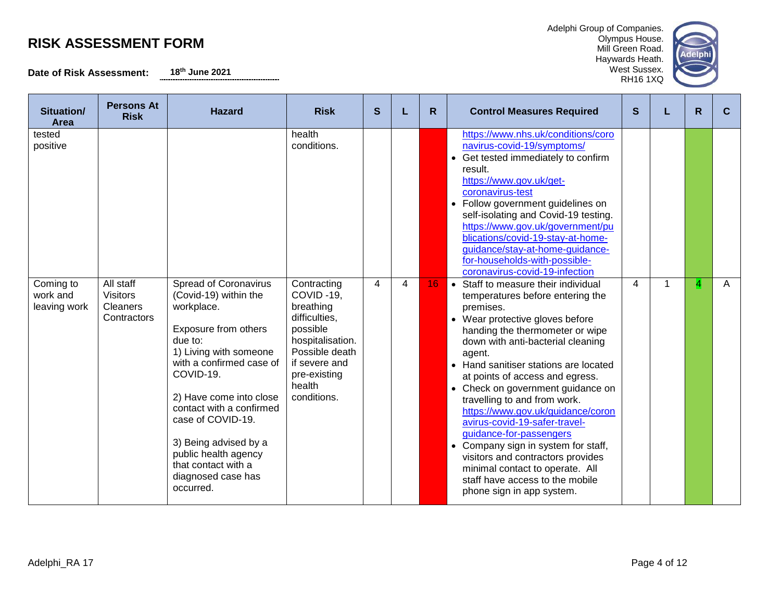**Date of Risk Assessment: 18th June 2021**

| Adelphi Group of Companies. |
|-----------------------------|
| Olympus House.              |
| Mill Green Road.            |
| Haywards Heath.             |



| Situation/<br>Area                    | <b>Persons At</b><br><b>Risk</b>                               | <b>Hazard</b>                                                                                                                                                                                                                                                                                                                                                    | <b>Risk</b>                                                                                                                                                        | S |   | R. | <b>Control Measures Required</b>                                                                                                                                                                                                                                                                                                                                                                                                                                                                                                                                                                                                           | S | $\mathsf{R}$ | C |
|---------------------------------------|----------------------------------------------------------------|------------------------------------------------------------------------------------------------------------------------------------------------------------------------------------------------------------------------------------------------------------------------------------------------------------------------------------------------------------------|--------------------------------------------------------------------------------------------------------------------------------------------------------------------|---|---|----|--------------------------------------------------------------------------------------------------------------------------------------------------------------------------------------------------------------------------------------------------------------------------------------------------------------------------------------------------------------------------------------------------------------------------------------------------------------------------------------------------------------------------------------------------------------------------------------------------------------------------------------------|---|--------------|---|
| tested<br>positive                    |                                                                |                                                                                                                                                                                                                                                                                                                                                                  | health<br>conditions.                                                                                                                                              |   |   |    | https://www.nhs.uk/conditions/coro<br>navirus-covid-19/symptoms/<br>• Get tested immediately to confirm<br>result.<br>https://www.gov.uk/get-<br>coronavirus-test<br>• Follow government guidelines on<br>self-isolating and Covid-19 testing.<br>https://www.gov.uk/government/pu<br>blications/covid-19-stay-at-home-<br>guidance/stay-at-home-guidance-<br>for-households-with-possible-<br>coronavirus-covid-19-infection                                                                                                                                                                                                              |   |              |   |
| Coming to<br>work and<br>leaving work | All staff<br><b>Visitors</b><br><b>Cleaners</b><br>Contractors | <b>Spread of Coronavirus</b><br>(Covid-19) within the<br>workplace.<br>Exposure from others<br>due to:<br>1) Living with someone<br>with a confirmed case of<br>COVID-19.<br>2) Have come into close<br>contact with a confirmed<br>case of COVID-19.<br>3) Being advised by a<br>public health agency<br>that contact with a<br>diagnosed case has<br>occurred. | Contracting<br>COVID-19.<br>breathing<br>difficulties.<br>possible<br>hospitalisation.<br>Possible death<br>if severe and<br>pre-existing<br>health<br>conditions. | 4 | 4 | 16 | • Staff to measure their individual<br>temperatures before entering the<br>premises.<br>• Wear protective gloves before<br>handing the thermometer or wipe<br>down with anti-bacterial cleaning<br>agent.<br>• Hand sanitiser stations are located<br>at points of access and egress.<br>• Check on government guidance on<br>travelling to and from work.<br>https://www.gov.uk/guidance/coron<br>avirus-covid-19-safer-travel-<br>guidance-for-passengers<br>• Company sign in system for staff,<br>visitors and contractors provides<br>minimal contact to operate. All<br>staff have access to the mobile<br>phone sign in app system. | 4 | 4            | A |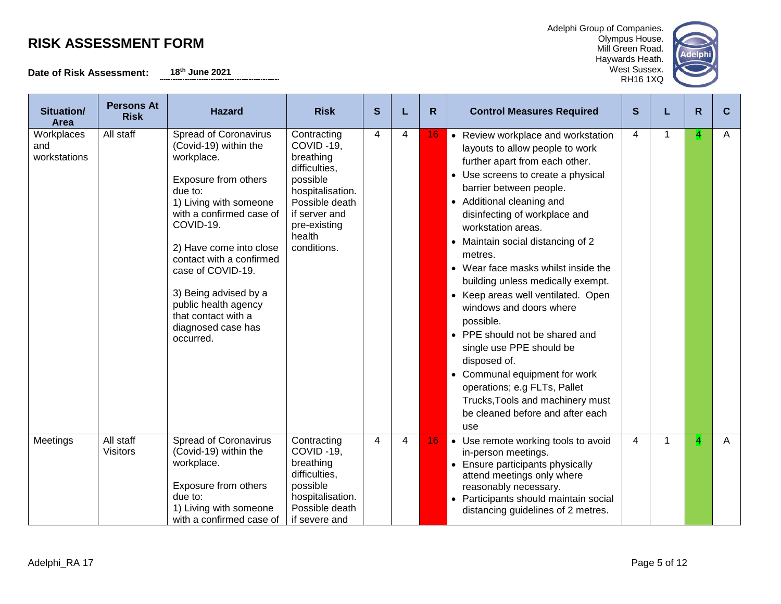**Date of Risk Assessment: 18th June 2021**

and the state

| Adelphi Group of Companies. |  |
|-----------------------------|--|
| Olympus House.              |  |

Mill Green Road. Haywards Heath. West Sussex. RH16 1XQ



| Situation/<br>Area                | <b>Persons At</b><br><b>Risk</b> | <b>Hazard</b>                                                                                                                                                                                                                                                                                                                                             | <b>Risk</b>                                                                                                                                                        | S                       |   | R. | <b>Control Measures Required</b>                                                                                                                                                                                                                                                                                                                                                                                                                                                                                                                                                                                                                                                                     | S |    | R | C |
|-----------------------------------|----------------------------------|-----------------------------------------------------------------------------------------------------------------------------------------------------------------------------------------------------------------------------------------------------------------------------------------------------------------------------------------------------------|--------------------------------------------------------------------------------------------------------------------------------------------------------------------|-------------------------|---|----|------------------------------------------------------------------------------------------------------------------------------------------------------------------------------------------------------------------------------------------------------------------------------------------------------------------------------------------------------------------------------------------------------------------------------------------------------------------------------------------------------------------------------------------------------------------------------------------------------------------------------------------------------------------------------------------------------|---|----|---|---|
| Workplaces<br>and<br>workstations | All staff                        | Spread of Coronavirus<br>(Covid-19) within the<br>workplace.<br>Exposure from others<br>due to:<br>1) Living with someone<br>with a confirmed case of<br>COVID-19.<br>2) Have come into close<br>contact with a confirmed<br>case of COVID-19.<br>3) Being advised by a<br>public health agency<br>that contact with a<br>diagnosed case has<br>occurred. | Contracting<br>COVID-19.<br>breathing<br>difficulties,<br>possible<br>hospitalisation.<br>Possible death<br>if server and<br>pre-existing<br>health<br>conditions. | 4                       | 4 | 16 | • Review workplace and workstation<br>layouts to allow people to work<br>further apart from each other.<br>• Use screens to create a physical<br>barrier between people.<br>• Additional cleaning and<br>disinfecting of workplace and<br>workstation areas.<br>• Maintain social distancing of 2<br>metres.<br>• Wear face masks whilst inside the<br>building unless medically exempt.<br>• Keep areas well ventilated. Open<br>windows and doors where<br>possible.<br>• PPE should not be shared and<br>single use PPE should be<br>disposed of.<br>• Communal equipment for work<br>operations; e.g FLTs, Pallet<br>Trucks, Tools and machinery must<br>be cleaned before and after each<br>use | 4 |    | 4 | Α |
| Meetings                          | All staff<br><b>Visitors</b>     | <b>Spread of Coronavirus</b><br>(Covid-19) within the<br>workplace.<br>Exposure from others<br>due to:<br>1) Living with someone<br>with a confirmed case of                                                                                                                                                                                              | Contracting<br>COVID-19,<br>breathing<br>difficulties,<br>possible<br>hospitalisation.<br>Possible death<br>if severe and                                          | $\overline{\mathbf{4}}$ | 4 | 16 | • Use remote working tools to avoid<br>in-person meetings.<br>• Ensure participants physically<br>attend meetings only where<br>reasonably necessary.<br>• Participants should maintain social<br>distancing guidelines of 2 metres.                                                                                                                                                                                                                                                                                                                                                                                                                                                                 | 4 | -1 | 4 | A |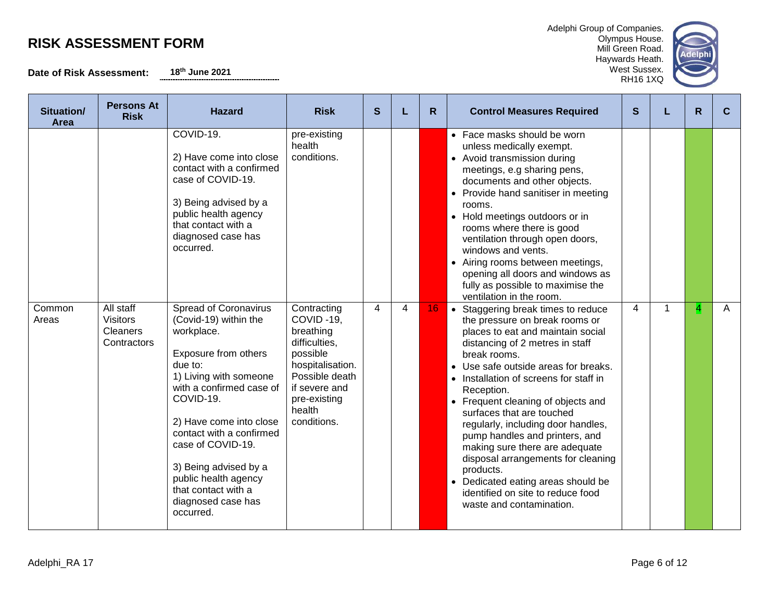**Date of Risk Assessment: 18th June 2021**

| Situation/<br><b>Area</b> | <b>Persons At</b><br><b>Risk</b>                               | <b>Hazard</b>                                                                                                                                                                                                                                                                                                                                             | <b>Risk</b>                                                                                                                                                        | S              |   | R. | <b>Control Measures Required</b>                                                                                                                                                                                                                                                                                                                                                                                                                                                                                                                                                                    | S |   | R | C |
|---------------------------|----------------------------------------------------------------|-----------------------------------------------------------------------------------------------------------------------------------------------------------------------------------------------------------------------------------------------------------------------------------------------------------------------------------------------------------|--------------------------------------------------------------------------------------------------------------------------------------------------------------------|----------------|---|----|-----------------------------------------------------------------------------------------------------------------------------------------------------------------------------------------------------------------------------------------------------------------------------------------------------------------------------------------------------------------------------------------------------------------------------------------------------------------------------------------------------------------------------------------------------------------------------------------------------|---|---|---|---|
|                           |                                                                | COVID-19.<br>2) Have come into close<br>contact with a confirmed<br>case of COVID-19.<br>3) Being advised by a<br>public health agency<br>that contact with a<br>diagnosed case has<br>occurred.                                                                                                                                                          | pre-existing<br>health<br>conditions.                                                                                                                              |                |   |    | • Face masks should be worn<br>unless medically exempt.<br>• Avoid transmission during<br>meetings, e.g sharing pens,<br>documents and other objects.<br>• Provide hand sanitiser in meeting<br>rooms.<br>• Hold meetings outdoors or in<br>rooms where there is good<br>ventilation through open doors,<br>windows and vents.<br>• Airing rooms between meetings,<br>opening all doors and windows as<br>fully as possible to maximise the<br>ventilation in the room.                                                                                                                             |   |   |   |   |
| Common<br>Areas           | All staff<br><b>Visitors</b><br><b>Cleaners</b><br>Contractors | Spread of Coronavirus<br>(Covid-19) within the<br>workplace.<br>Exposure from others<br>due to:<br>1) Living with someone<br>with a confirmed case of<br>COVID-19.<br>2) Have come into close<br>contact with a confirmed<br>case of COVID-19.<br>3) Being advised by a<br>public health agency<br>that contact with a<br>diagnosed case has<br>occurred. | Contracting<br>COVID-19,<br>breathing<br>difficulties,<br>possible<br>hospitalisation.<br>Possible death<br>if severe and<br>pre-existing<br>health<br>conditions. | $\overline{4}$ | 4 | 16 | • Staggering break times to reduce<br>the pressure on break rooms or<br>places to eat and maintain social<br>distancing of 2 metres in staff<br>break rooms.<br>• Use safe outside areas for breaks.<br>• Installation of screens for staff in<br>Reception.<br>• Frequent cleaning of objects and<br>surfaces that are touched<br>regularly, including door handles,<br>pump handles and printers, and<br>making sure there are adequate<br>disposal arrangements for cleaning<br>products.<br>• Dedicated eating areas should be<br>identified on site to reduce food<br>waste and contamination. | 4 | 1 | 4 | A |

Adelphi Group of Companies. Olympus House. Mill Green Road. Haywards Heath.

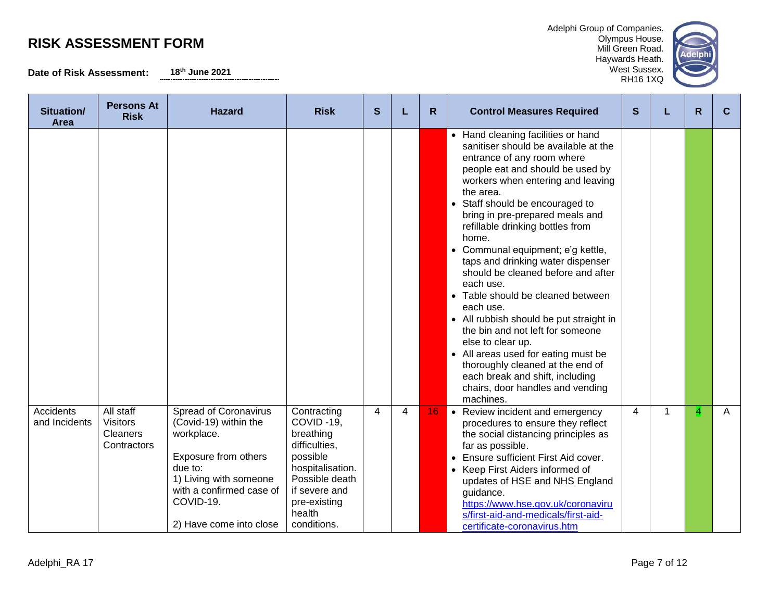**Date of Risk Assessment: 18th June 2021**

Adelphi Group of Companies. Olympus House. Mill Green Road. Haywards Heath.



| Situation/<br>Area                | <b>Persons At</b><br><b>Risk</b>                               | <b>Hazard</b>                                                                                                                                                                                        | <b>Risk</b>                                                                                                                                                        | S |   | R  | <b>Control Measures Required</b>                                                                                                                                                                                                                                                                                                                                                                                                                                                                                                                                                                                                                                                                                                                              | S |   | R | C |
|-----------------------------------|----------------------------------------------------------------|------------------------------------------------------------------------------------------------------------------------------------------------------------------------------------------------------|--------------------------------------------------------------------------------------------------------------------------------------------------------------------|---|---|----|---------------------------------------------------------------------------------------------------------------------------------------------------------------------------------------------------------------------------------------------------------------------------------------------------------------------------------------------------------------------------------------------------------------------------------------------------------------------------------------------------------------------------------------------------------------------------------------------------------------------------------------------------------------------------------------------------------------------------------------------------------------|---|---|---|---|
|                                   |                                                                |                                                                                                                                                                                                      |                                                                                                                                                                    |   |   |    | • Hand cleaning facilities or hand<br>sanitiser should be available at the<br>entrance of any room where<br>people eat and should be used by<br>workers when entering and leaving<br>the area.<br>• Staff should be encouraged to<br>bring in pre-prepared meals and<br>refillable drinking bottles from<br>home.<br>Communal equipment; e'g kettle,<br>taps and drinking water dispenser<br>should be cleaned before and after<br>each use.<br>Table should be cleaned between<br>each use.<br>• All rubbish should be put straight in<br>the bin and not left for someone<br>else to clear up.<br>All areas used for eating must be<br>thoroughly cleaned at the end of<br>each break and shift, including<br>chairs, door handles and vending<br>machines. |   |   |   |   |
| <b>Accidents</b><br>and Incidents | All staff<br><b>Visitors</b><br><b>Cleaners</b><br>Contractors | <b>Spread of Coronavirus</b><br>(Covid-19) within the<br>workplace.<br>Exposure from others<br>due to:<br>1) Living with someone<br>with a confirmed case of<br>COVID-19.<br>2) Have come into close | Contracting<br>COVID-19,<br>breathing<br>difficulties,<br>possible<br>hospitalisation.<br>Possible death<br>if severe and<br>pre-existing<br>health<br>conditions. | 4 | 4 | 16 | • Review incident and emergency<br>procedures to ensure they reflect<br>the social distancing principles as<br>far as possible.<br>Ensure sufficient First Aid cover.<br>• Keep First Aiders informed of<br>updates of HSE and NHS England<br>guidance.<br>https://www.hse.gov.uk/coronaviru<br>s/first-aid-and-medicals/first-aid-<br>certificate-coronavirus.htm                                                                                                                                                                                                                                                                                                                                                                                            | 4 | 1 | 4 | A |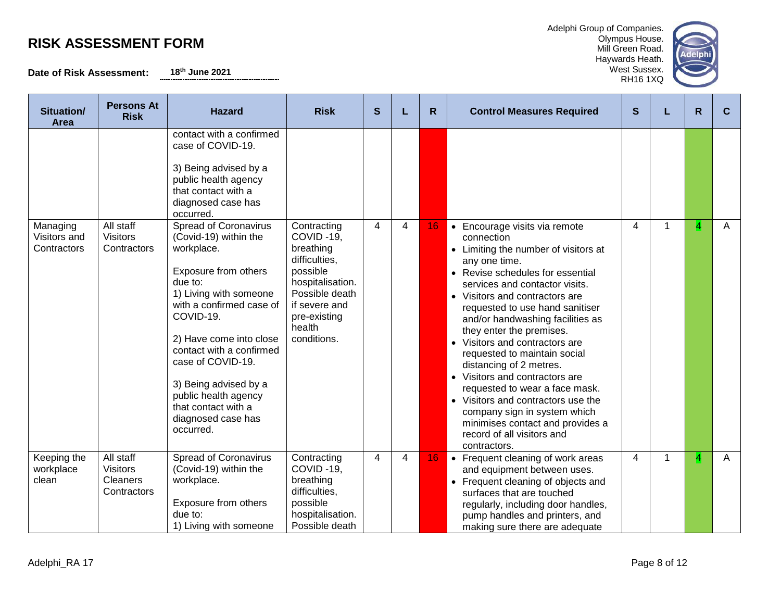**Persons At** 

**Date of Risk Assessment: 18th June 2021**

| Situation/<br>Area                      | <b>Persons At</b><br><b>Risk</b>                               | <b>Hazard</b>                                                                                                                                                                                                                                                                                                                                                    | <b>Risk</b>                                                                                                                                                        | S |                | R  | <b>Control Measures Required</b>                                                                                                                                                                                                                                                                                                                                                                                                                                                                                                                                                                                                         | S |   | R | C            |
|-----------------------------------------|----------------------------------------------------------------|------------------------------------------------------------------------------------------------------------------------------------------------------------------------------------------------------------------------------------------------------------------------------------------------------------------------------------------------------------------|--------------------------------------------------------------------------------------------------------------------------------------------------------------------|---|----------------|----|------------------------------------------------------------------------------------------------------------------------------------------------------------------------------------------------------------------------------------------------------------------------------------------------------------------------------------------------------------------------------------------------------------------------------------------------------------------------------------------------------------------------------------------------------------------------------------------------------------------------------------------|---|---|---|--------------|
|                                         |                                                                | contact with a confirmed<br>case of COVID-19.<br>3) Being advised by a<br>public health agency<br>that contact with a<br>diagnosed case has<br>occurred.                                                                                                                                                                                                         |                                                                                                                                                                    |   |                |    |                                                                                                                                                                                                                                                                                                                                                                                                                                                                                                                                                                                                                                          |   |   |   |              |
| Managing<br>Visitors and<br>Contractors | All staff<br><b>Visitors</b><br>Contractors                    | <b>Spread of Coronavirus</b><br>(Covid-19) within the<br>workplace.<br>Exposure from others<br>due to:<br>1) Living with someone<br>with a confirmed case of<br>COVID-19.<br>2) Have come into close<br>contact with a confirmed<br>case of COVID-19.<br>3) Being advised by a<br>public health agency<br>that contact with a<br>diagnosed case has<br>occurred. | Contracting<br>COVID-19,<br>breathing<br>difficulties,<br>possible<br>hospitalisation.<br>Possible death<br>if severe and<br>pre-existing<br>health<br>conditions. | 4 | 4              | 16 | • Encourage visits via remote<br>connection<br>• Limiting the number of visitors at<br>any one time.<br>• Revise schedules for essential<br>services and contactor visits.<br>• Visitors and contractors are<br>requested to use hand sanitiser<br>and/or handwashing facilities as<br>they enter the premises.<br>• Visitors and contractors are<br>requested to maintain social<br>distancing of 2 metres.<br>• Visitors and contractors are<br>requested to wear a face mask.<br>• Visitors and contractors use the<br>company sign in system which<br>minimises contact and provides a<br>record of all visitors and<br>contractors. | 4 |   | 4 | $\mathsf{A}$ |
| Keeping the<br>workplace<br>clean       | All staff<br><b>Visitors</b><br><b>Cleaners</b><br>Contractors | <b>Spread of Coronavirus</b><br>(Covid-19) within the<br>workplace.<br>Exposure from others<br>due to:<br>1) Living with someone                                                                                                                                                                                                                                 | Contracting<br>COVID-19,<br>breathing<br>difficulties,<br>possible<br>hospitalisation.<br>Possible death                                                           | 4 | $\overline{4}$ | 16 | • Frequent cleaning of work areas<br>and equipment between uses.<br>• Frequent cleaning of objects and<br>surfaces that are touched<br>regularly, including door handles,<br>pump handles and printers, and<br>making sure there are adequate                                                                                                                                                                                                                                                                                                                                                                                            | 4 | 1 | 4 | A            |

Adelphi Group of Companies. Olympus House. Mill Green Road. Haywards Heath. West Sussex. RH16 1XQ

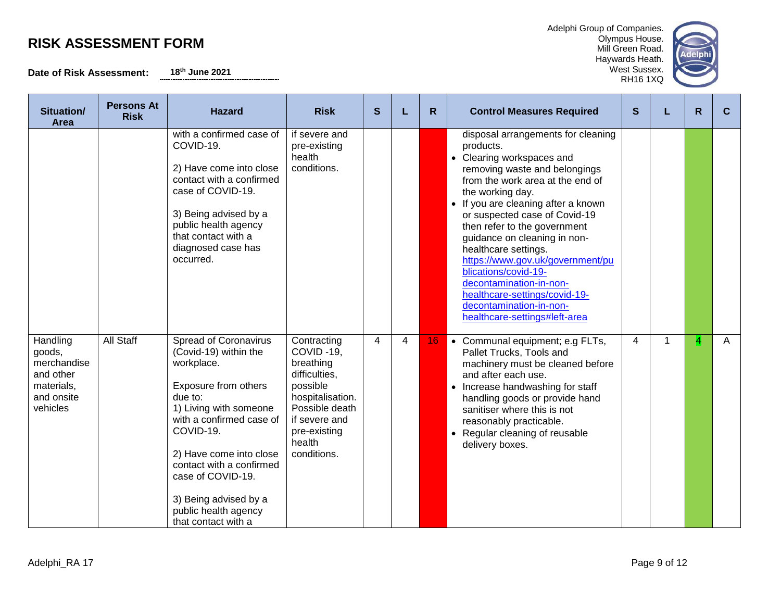**Date of Risk Assessment: 18th June 2021**

| Situation/<br><b>Area</b>                                                              | <b>Persons At</b><br><b>Risk</b> | <b>Hazard</b>                                                                                                                                                                                                                                                                                                          | <b>Risk</b>                                                                                                                                                        | S              |                | R. | <b>Control Measures Required</b>                                                                                                                                                                                                                                                                                                                                                                                                                                                                                          | S |   | R               | C            |
|----------------------------------------------------------------------------------------|----------------------------------|------------------------------------------------------------------------------------------------------------------------------------------------------------------------------------------------------------------------------------------------------------------------------------------------------------------------|--------------------------------------------------------------------------------------------------------------------------------------------------------------------|----------------|----------------|----|---------------------------------------------------------------------------------------------------------------------------------------------------------------------------------------------------------------------------------------------------------------------------------------------------------------------------------------------------------------------------------------------------------------------------------------------------------------------------------------------------------------------------|---|---|-----------------|--------------|
|                                                                                        |                                  | with a confirmed case of<br>COVID-19.<br>2) Have come into close<br>contact with a confirmed<br>case of COVID-19.<br>3) Being advised by a<br>public health agency<br>that contact with a<br>diagnosed case has<br>occurred.                                                                                           | if severe and<br>pre-existing<br>health<br>conditions.                                                                                                             |                |                |    | disposal arrangements for cleaning<br>products.<br>• Clearing workspaces and<br>removing waste and belongings<br>from the work area at the end of<br>the working day.<br>• If you are cleaning after a known<br>or suspected case of Covid-19<br>then refer to the government<br>guidance on cleaning in non-<br>healthcare settings.<br>https://www.gov.uk/government/pu<br>blications/covid-19-<br>decontamination-in-non-<br>healthcare-settings/covid-19-<br>decontamination-in-non-<br>healthcare-settings#left-area |   |   |                 |              |
| Handling<br>goods,<br>merchandise<br>and other<br>materials,<br>and onsite<br>vehicles | All Staff                        | Spread of Coronavirus<br>(Covid-19) within the<br>workplace.<br>Exposure from others<br>due to:<br>1) Living with someone<br>with a confirmed case of<br>COVID-19.<br>2) Have come into close<br>contact with a confirmed<br>case of COVID-19.<br>3) Being advised by a<br>public health agency<br>that contact with a | Contracting<br>COVID-19,<br>breathing<br>difficulties,<br>possible<br>hospitalisation.<br>Possible death<br>if severe and<br>pre-existing<br>health<br>conditions. | $\overline{4}$ | $\overline{4}$ | 16 | • Communal equipment; e.g FLTs,<br>Pallet Trucks, Tools and<br>machinery must be cleaned before<br>and after each use.<br>• Increase handwashing for staff<br>handling goods or provide hand<br>sanitiser where this is not<br>reasonably practicable.<br>• Regular cleaning of reusable<br>delivery boxes.                                                                                                                                                                                                               | 4 | 1 | $\vert 4 \vert$ | $\mathsf{A}$ |

Adelphi Group of Companies. Olympus House. Mill Green Road. Haywards Heath.

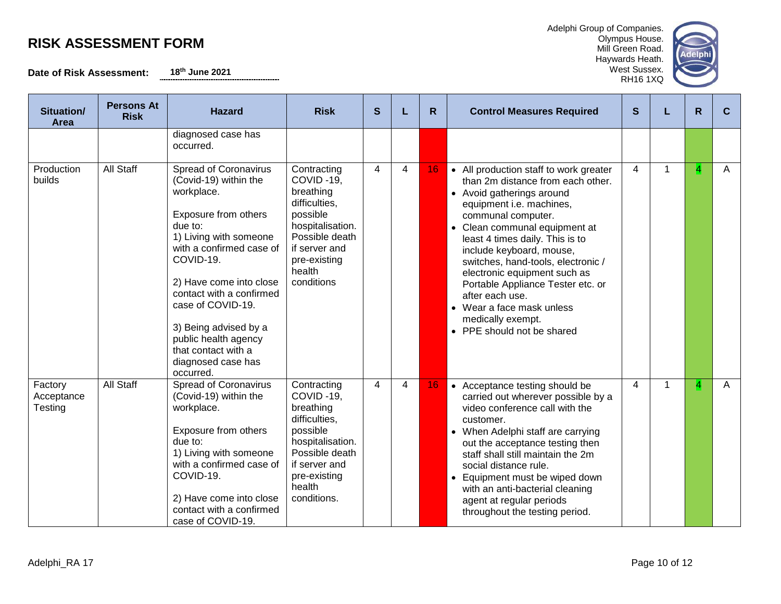**Date of Risk Assessment: 18th June 2021**

| Adelphi Group of Companies. |
|-----------------------------|
| Olympus House.              |
| Mill Green Road.            |
| Haywards Heath.             |



| Situation/<br>Area               | <b>Persons At</b><br><b>Risk</b> | <b>Hazard</b>                                                                                                                                                                                                                                                                                                                                                    | <b>Risk</b>                                                                                                                                                        | S                       | L              | R  | <b>Control Measures Required</b>                                                                                                                                                                                                                                                                                                                                                                                                                                         | S              |   | R. | C. |
|----------------------------------|----------------------------------|------------------------------------------------------------------------------------------------------------------------------------------------------------------------------------------------------------------------------------------------------------------------------------------------------------------------------------------------------------------|--------------------------------------------------------------------------------------------------------------------------------------------------------------------|-------------------------|----------------|----|--------------------------------------------------------------------------------------------------------------------------------------------------------------------------------------------------------------------------------------------------------------------------------------------------------------------------------------------------------------------------------------------------------------------------------------------------------------------------|----------------|---|----|----|
|                                  |                                  | diagnosed case has<br>occurred.                                                                                                                                                                                                                                                                                                                                  |                                                                                                                                                                    |                         |                |    |                                                                                                                                                                                                                                                                                                                                                                                                                                                                          |                |   |    |    |
| Production<br>builds             | <b>All Staff</b>                 | <b>Spread of Coronavirus</b><br>(Covid-19) within the<br>workplace.<br>Exposure from others<br>due to:<br>1) Living with someone<br>with a confirmed case of<br>COVID-19.<br>2) Have come into close<br>contact with a confirmed<br>case of COVID-19.<br>3) Being advised by a<br>public health agency<br>that contact with a<br>diagnosed case has<br>occurred. | Contracting<br>COVID-19.<br>breathing<br>difficulties.<br>possible<br>hospitalisation.<br>Possible death<br>if server and<br>pre-existing<br>health<br>conditions  | $\overline{\mathbf{4}}$ | 4              | 16 | • All production staff to work greater<br>than 2m distance from each other.<br>• Avoid gatherings around<br>equipment i.e. machines,<br>communal computer.<br>• Clean communal equipment at<br>least 4 times daily. This is to<br>include keyboard, mouse,<br>switches, hand-tools, electronic /<br>electronic equipment such as<br>Portable Appliance Tester etc. or<br>after each use.<br>• Wear a face mask unless<br>medically exempt.<br>• PPE should not be shared | $\overline{4}$ | 1 | 4  | A  |
| Factory<br>Acceptance<br>Testing | <b>All Staff</b>                 | <b>Spread of Coronavirus</b><br>(Covid-19) within the<br>workplace.<br>Exposure from others<br>due to:<br>1) Living with someone<br>with a confirmed case of<br>COVID-19.<br>2) Have come into close<br>contact with a confirmed<br>case of COVID-19.                                                                                                            | Contracting<br>COVID-19.<br>breathing<br>difficulties,<br>possible<br>hospitalisation.<br>Possible death<br>if server and<br>pre-existing<br>health<br>conditions. | $\overline{4}$          | $\overline{4}$ | 16 | • Acceptance testing should be<br>carried out wherever possible by a<br>video conference call with the<br>customer.<br>• When Adelphi staff are carrying<br>out the acceptance testing then<br>staff shall still maintain the 2m<br>social distance rule.<br>• Equipment must be wiped down<br>with an anti-bacterial cleaning<br>agent at regular periods<br>throughout the testing period.                                                                             | $\overline{4}$ | 1 | 4  | A  |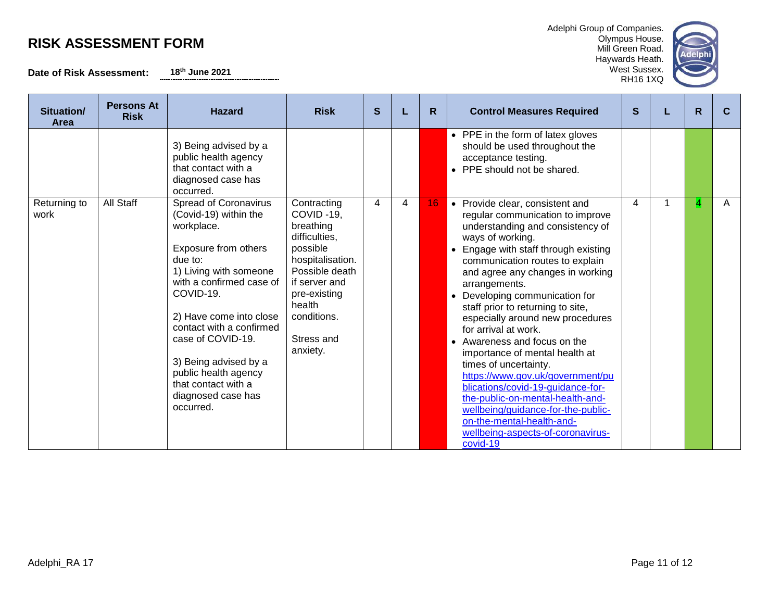**Date of Risk Assessment: 18th June 2021**

| Adelphi Group of Companies. |
|-----------------------------|
| Olympus House.              |
| Mill Green Road.            |



| Situation/<br><b>Area</b> | <b>Persons At</b><br><b>Risk</b> | <b>Hazard</b>                                                                                                                                                                                                                                                                                                                                                    | <b>Risk</b>                                                                                                                                                                                  | S |   | R  | <b>Control Measures Required</b>                                                                                                                                                                                                                                                                                                                                                                                                                                                                                                                                                                                                                                                                                                      | S | R | C. |
|---------------------------|----------------------------------|------------------------------------------------------------------------------------------------------------------------------------------------------------------------------------------------------------------------------------------------------------------------------------------------------------------------------------------------------------------|----------------------------------------------------------------------------------------------------------------------------------------------------------------------------------------------|---|---|----|---------------------------------------------------------------------------------------------------------------------------------------------------------------------------------------------------------------------------------------------------------------------------------------------------------------------------------------------------------------------------------------------------------------------------------------------------------------------------------------------------------------------------------------------------------------------------------------------------------------------------------------------------------------------------------------------------------------------------------------|---|---|----|
|                           |                                  | 3) Being advised by a<br>public health agency<br>that contact with a<br>diagnosed case has<br>occurred.                                                                                                                                                                                                                                                          |                                                                                                                                                                                              |   |   |    | • PPE in the form of latex gloves<br>should be used throughout the<br>acceptance testing.<br>• PPE should not be shared.                                                                                                                                                                                                                                                                                                                                                                                                                                                                                                                                                                                                              |   |   |    |
| Returning to<br>work      | All Staff                        | <b>Spread of Coronavirus</b><br>(Covid-19) within the<br>workplace.<br>Exposure from others<br>due to:<br>1) Living with someone<br>with a confirmed case of<br>COVID-19.<br>2) Have come into close<br>contact with a confirmed<br>case of COVID-19.<br>3) Being advised by a<br>public health agency<br>that contact with a<br>diagnosed case has<br>occurred. | Contracting<br>COVID-19,<br>breathing<br>difficulties,<br>possible<br>hospitalisation.<br>Possible death<br>if server and<br>pre-existing<br>health<br>conditions.<br>Stress and<br>anxiety. | 4 | 4 | 16 | • Provide clear, consistent and<br>regular communication to improve<br>understanding and consistency of<br>ways of working.<br>Engage with staff through existing<br>$\bullet$<br>communication routes to explain<br>and agree any changes in working<br>arrangements.<br>• Developing communication for<br>staff prior to returning to site,<br>especially around new procedures<br>for arrival at work.<br>• Awareness and focus on the<br>importance of mental health at<br>times of uncertainty.<br>https://www.gov.uk/government/pu<br>blications/covid-19-guidance-for-<br>the-public-on-mental-health-and-<br>wellbeing/guidance-for-the-public-<br>on-the-mental-health-and-<br>wellbeing-aspects-of-coronavirus-<br>covid-19 | 4 | 4 | A  |